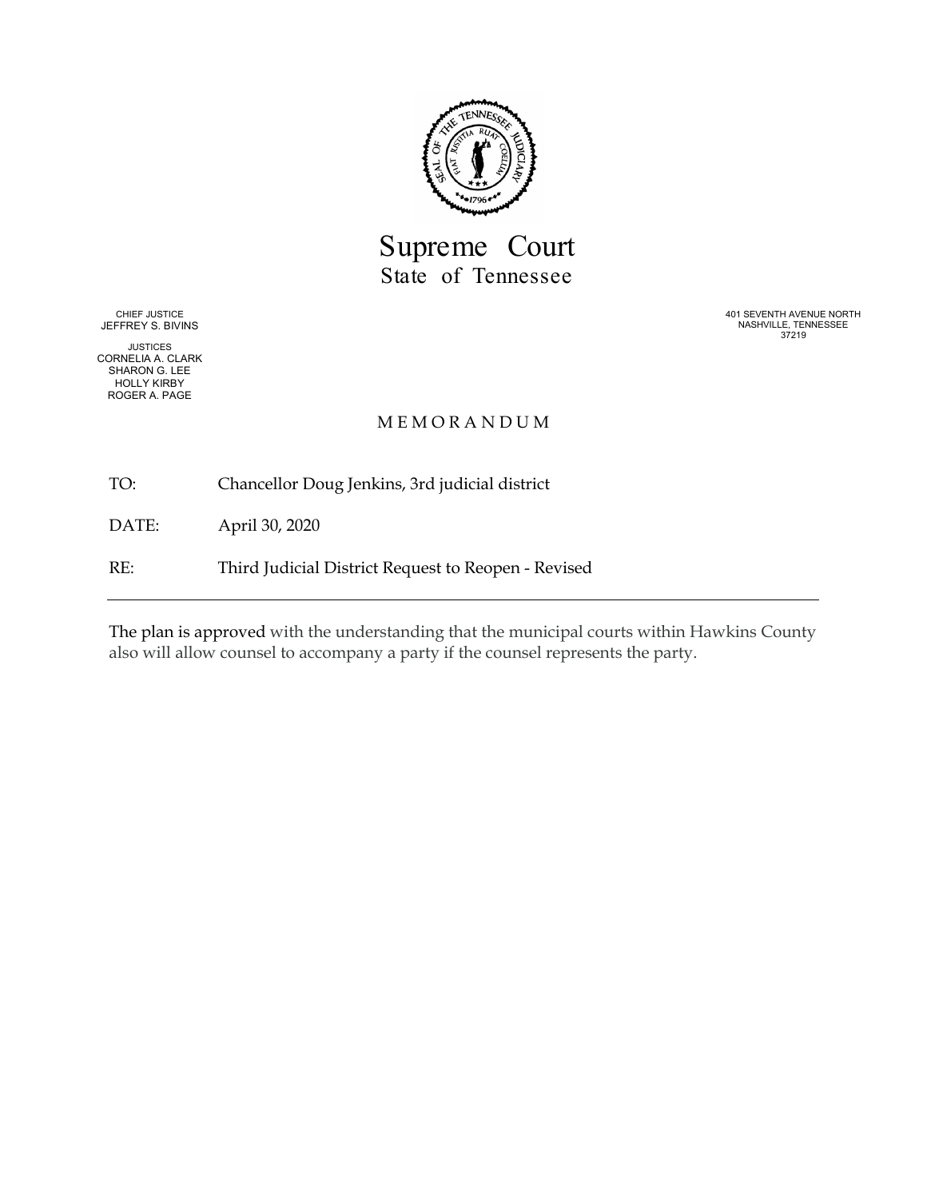

Supreme Court State of Tennessee

CHIEF JUSTICE JEFFREY S. BIVINS

JUSTICES CORNELIA A. CLARK SHARON G. LEE HOLLY KIRBY ROGER A. PAGE

401 SEVENTH AVENUE NORTH NASHVILLE, TENNESSEE 37219

#### M E M O R A N D U M

TO: Chancellor Doug Jenkins, 3rd judicial district

DATE: April 30, 2020

RE: Third Judicial District Request to Reopen - Revised

The plan is approved with the understanding that the municipal courts within Hawkins County also will allow counsel to accompany a party if the counsel represents the party.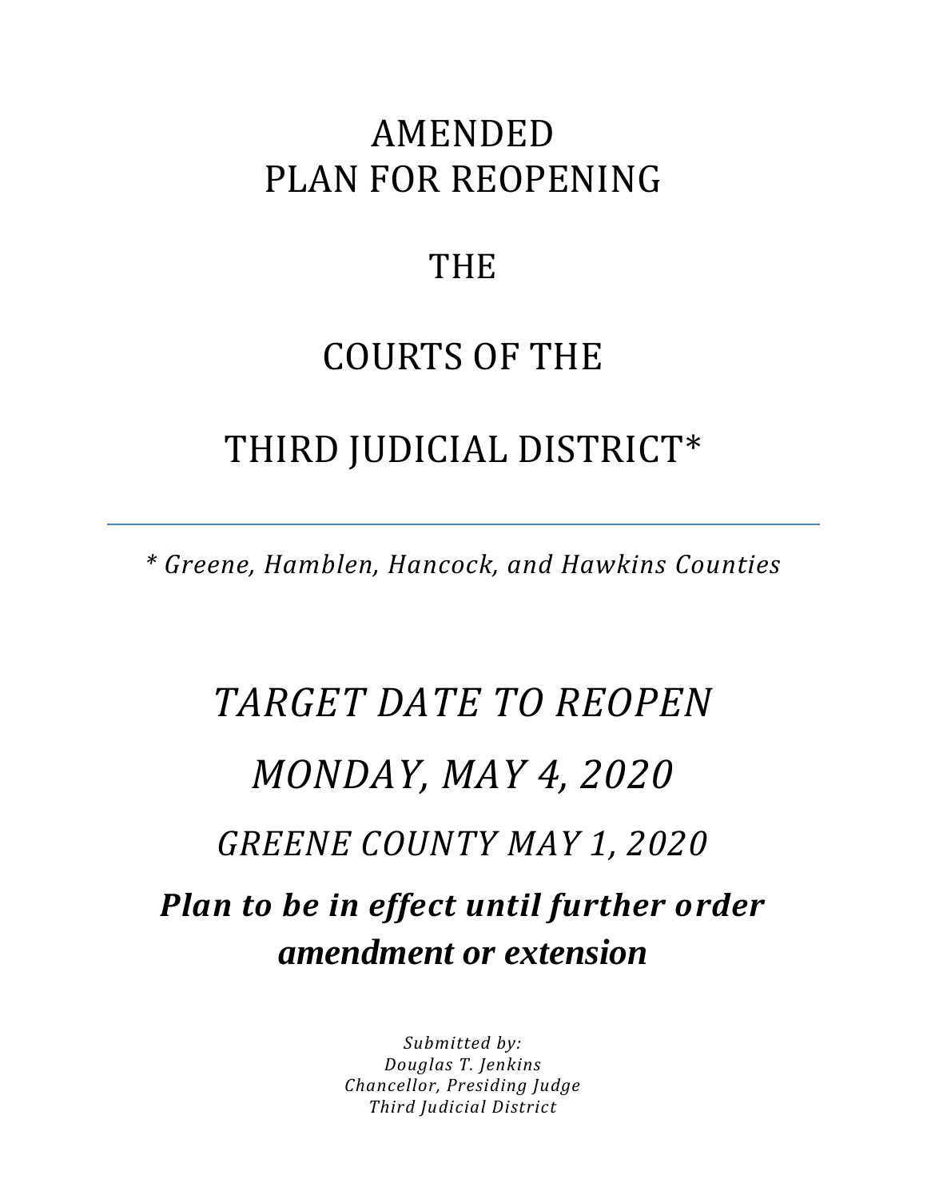## AMENDED PLAN FOR REOPENING

### **THE**

## COURTS OF THE

### THIRD JUDICIAL DISTRICT\*

*\* Greene, Hamblen, Hancock, and Hawkins Counties*

# *TARGET DATE TO REOPEN MONDAY, MAY 4, 2020 GREENE COUNTY MAY 1, 2020 Plan to be in effect until further order amendment or extension*

*Submitted by: Douglas T. Jenkins Chancellor, Presiding Judge Third Judicial District*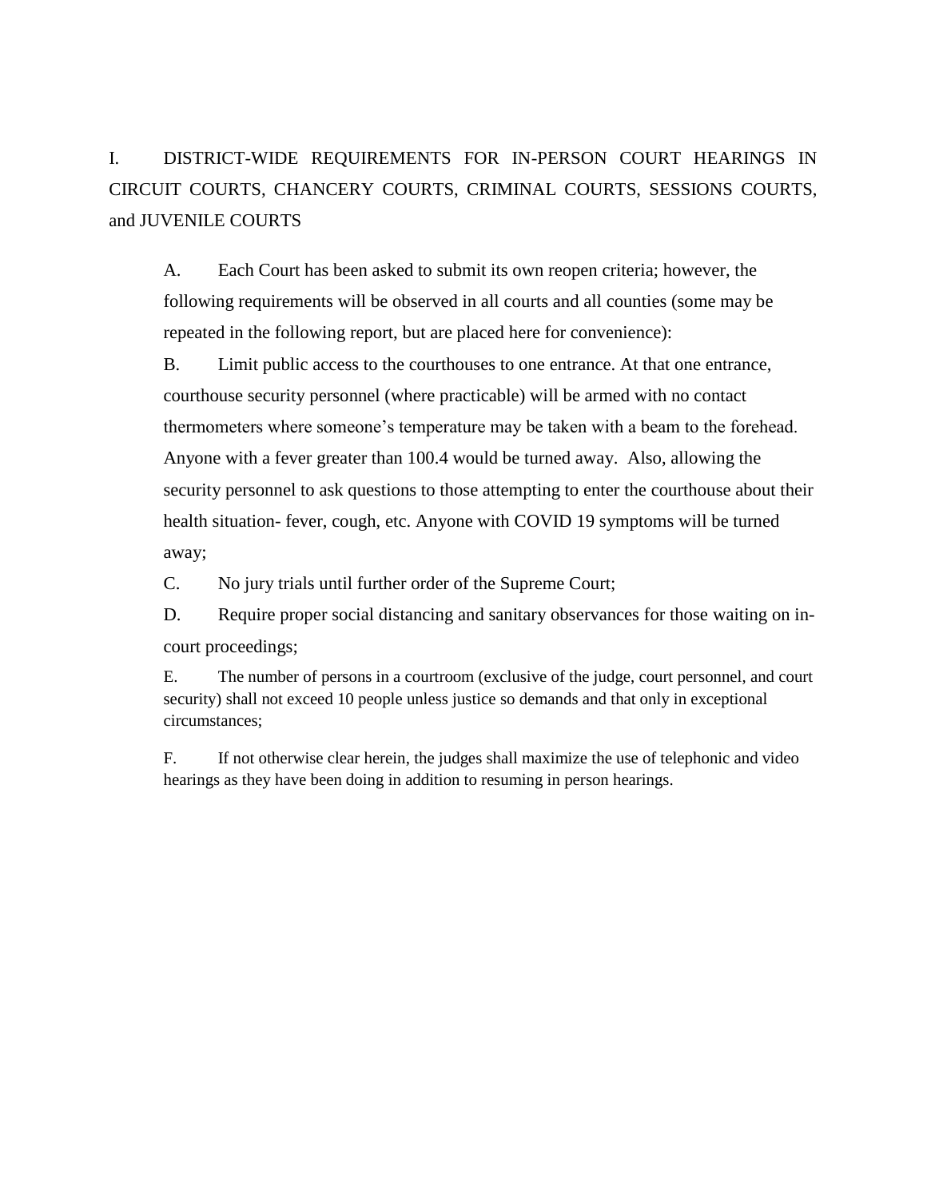I. DISTRICT-WIDE REQUIREMENTS FOR IN-PERSON COURT HEARINGS IN CIRCUIT COURTS, CHANCERY COURTS, CRIMINAL COURTS, SESSIONS COURTS, and JUVENILE COURTS

A. Each Court has been asked to submit its own reopen criteria; however, the following requirements will be observed in all courts and all counties (some may be repeated in the following report, but are placed here for convenience):

B. Limit public access to the courthouses to one entrance. At that one entrance, courthouse security personnel (where practicable) will be armed with no contact thermometers where someone's temperature may be taken with a beam to the forehead. Anyone with a fever greater than 100.4 would be turned away. Also, allowing the security personnel to ask questions to those attempting to enter the courthouse about their health situation- fever, cough, etc. Anyone with COVID 19 symptoms will be turned away;

C. No jury trials until further order of the Supreme Court;

D. Require proper social distancing and sanitary observances for those waiting on incourt proceedings;

E. The number of persons in a courtroom (exclusive of the judge, court personnel, and court security) shall not exceed 10 people unless justice so demands and that only in exceptional circumstances;

F. If not otherwise clear herein, the judges shall maximize the use of telephonic and video hearings as they have been doing in addition to resuming in person hearings.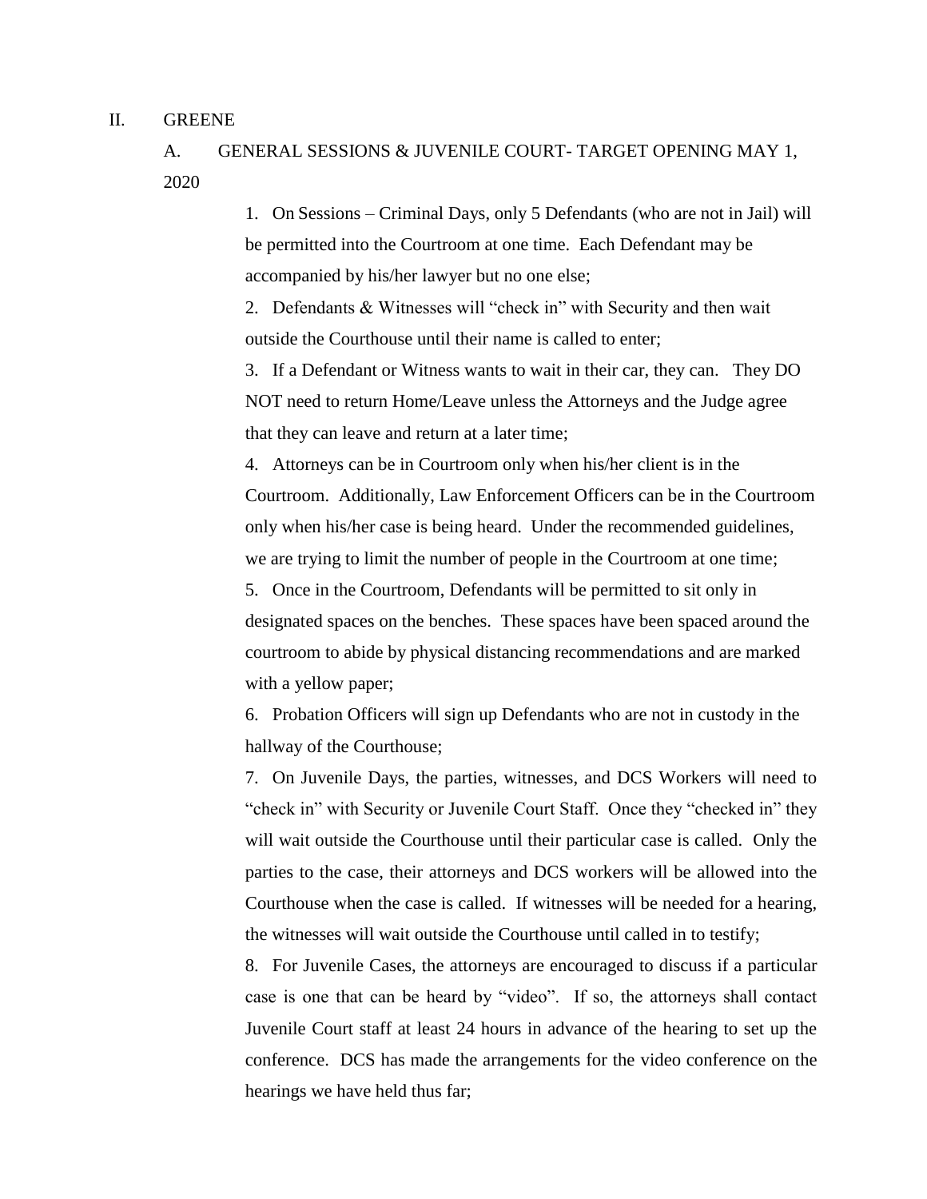#### II. GREENE

A. GENERAL SESSIONS & JUVENILE COURT- TARGET OPENING MAY 1, 2020

> 1. On Sessions – Criminal Days, only 5 Defendants (who are not in Jail) will be permitted into the Courtroom at one time. Each Defendant may be accompanied by his/her lawyer but no one else;

2. Defendants & Witnesses will "check in" with Security and then wait outside the Courthouse until their name is called to enter;

3. If a Defendant or Witness wants to wait in their car, they can. They DO NOT need to return Home/Leave unless the Attorneys and the Judge agree that they can leave and return at a later time;

4. Attorneys can be in Courtroom only when his/her client is in the Courtroom. Additionally, Law Enforcement Officers can be in the Courtroom only when his/her case is being heard. Under the recommended guidelines, we are trying to limit the number of people in the Courtroom at one time;

5. Once in the Courtroom, Defendants will be permitted to sit only in designated spaces on the benches. These spaces have been spaced around the courtroom to abide by physical distancing recommendations and are marked with a yellow paper;

6. Probation Officers will sign up Defendants who are not in custody in the hallway of the Courthouse;

7. On Juvenile Days, the parties, witnesses, and DCS Workers will need to "check in" with Security or Juvenile Court Staff. Once they "checked in" they will wait outside the Courthouse until their particular case is called. Only the parties to the case, their attorneys and DCS workers will be allowed into the Courthouse when the case is called. If witnesses will be needed for a hearing, the witnesses will wait outside the Courthouse until called in to testify;

8. For Juvenile Cases, the attorneys are encouraged to discuss if a particular case is one that can be heard by "video". If so, the attorneys shall contact Juvenile Court staff at least 24 hours in advance of the hearing to set up the conference. DCS has made the arrangements for the video conference on the hearings we have held thus far;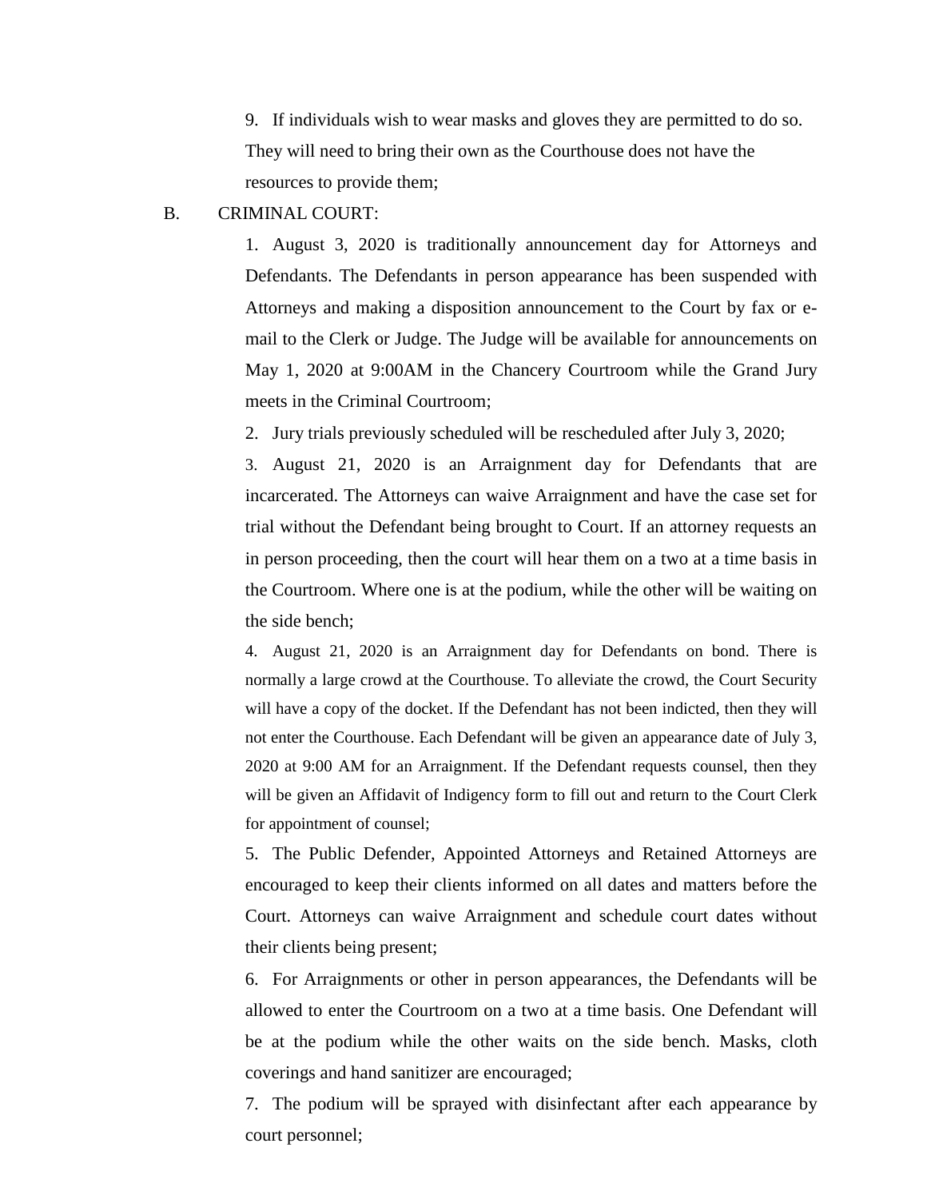9. If individuals wish to wear masks and gloves they are permitted to do so. They will need to bring their own as the Courthouse does not have the resources to provide them;

#### B. CRIMINAL COURT:

1. August 3, 2020 is traditionally announcement day for Attorneys and Defendants. The Defendants in person appearance has been suspended with Attorneys and making a disposition announcement to the Court by fax or email to the Clerk or Judge. The Judge will be available for announcements on May 1, 2020 at 9:00AM in the Chancery Courtroom while the Grand Jury meets in the Criminal Courtroom;

2. Jury trials previously scheduled will be rescheduled after July 3, 2020;

3. August 21, 2020 is an Arraignment day for Defendants that are incarcerated. The Attorneys can waive Arraignment and have the case set for trial without the Defendant being brought to Court. If an attorney requests an in person proceeding, then the court will hear them on a two at a time basis in the Courtroom. Where one is at the podium, while the other will be waiting on the side bench;

4. August 21, 2020 is an Arraignment day for Defendants on bond. There is normally a large crowd at the Courthouse. To alleviate the crowd, the Court Security will have a copy of the docket. If the Defendant has not been indicted, then they will not enter the Courthouse. Each Defendant will be given an appearance date of July 3, 2020 at 9:00 AM for an Arraignment. If the Defendant requests counsel, then they will be given an Affidavit of Indigency form to fill out and return to the Court Clerk for appointment of counsel;

5. The Public Defender, Appointed Attorneys and Retained Attorneys are encouraged to keep their clients informed on all dates and matters before the Court. Attorneys can waive Arraignment and schedule court dates without their clients being present;

6. For Arraignments or other in person appearances, the Defendants will be allowed to enter the Courtroom on a two at a time basis. One Defendant will be at the podium while the other waits on the side bench. Masks, cloth coverings and hand sanitizer are encouraged;

7. The podium will be sprayed with disinfectant after each appearance by court personnel;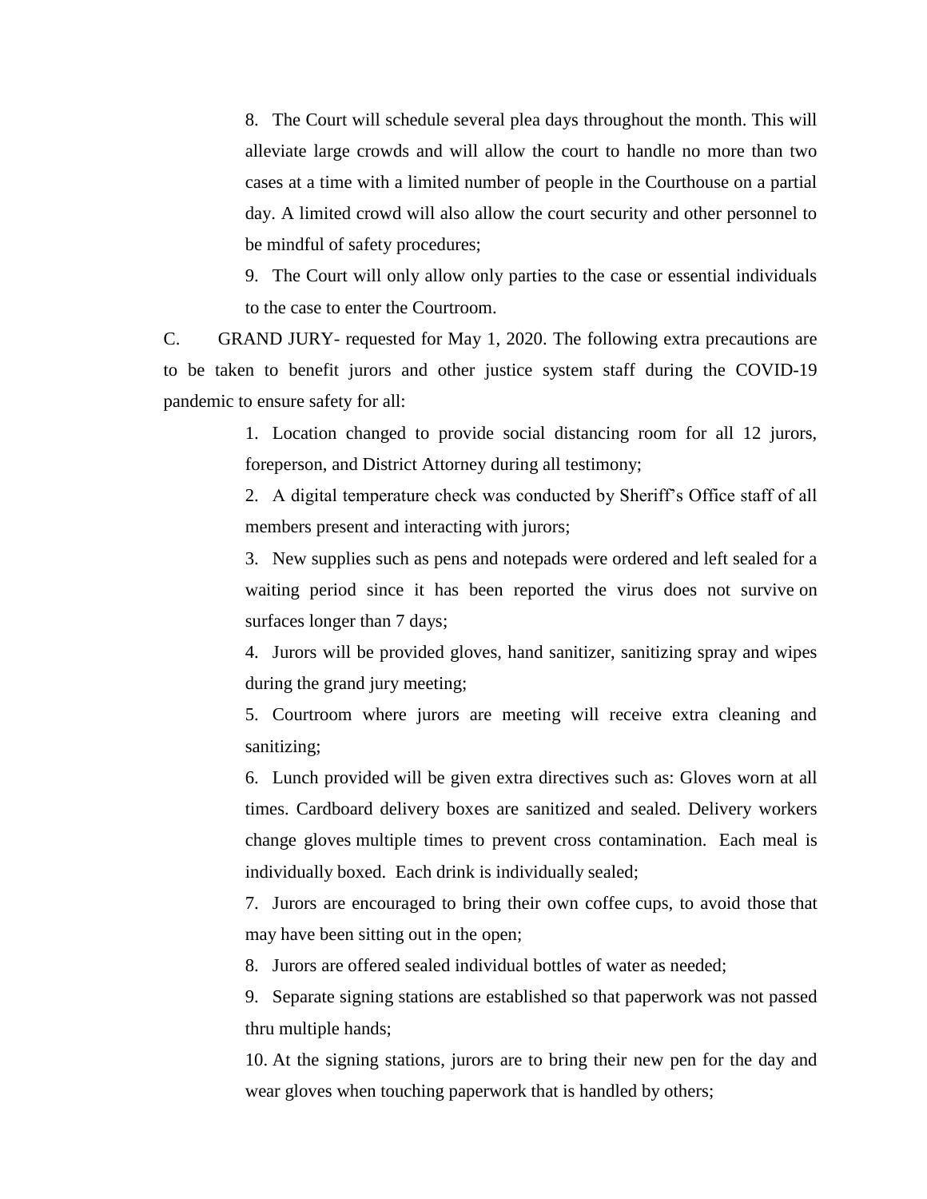8. The Court will schedule several plea days throughout the month. This will alleviate large crowds and will allow the court to handle no more than two cases at a time with a limited number of people in the Courthouse on a partial day. A limited crowd will also allow the court security and other personnel to be mindful of safety procedures;

9. The Court will only allow only parties to the case or essential individuals to the case to enter the Courtroom.

C. GRAND JURY- requested for May 1, 2020. The following extra precautions are to be taken to benefit jurors and other justice system staff during the COVID-19 pandemic to ensure safety for all:

> 1. Location changed to provide social distancing room for all 12 jurors, foreperson, and District Attorney during all testimony;

> 2. A digital temperature check was conducted by Sheriff's Office staff of all members present and interacting with jurors;

> 3. New supplies such as pens and notepads were ordered and left sealed for a waiting period since it has been reported the virus does not survive on surfaces longer than 7 days;

> 4. Jurors will be provided gloves, hand sanitizer, sanitizing spray and wipes during the grand jury meeting;

> 5. Courtroom where jurors are meeting will receive extra cleaning and sanitizing;

> 6. Lunch provided will be given extra directives such as: Gloves worn at all times. Cardboard delivery boxes are sanitized and sealed. Delivery workers change gloves multiple times to prevent cross contamination. Each meal is individually boxed. Each drink is individually sealed;

> 7. Jurors are encouraged to bring their own coffee cups, to avoid those that may have been sitting out in the open;

8. Jurors are offered sealed individual bottles of water as needed;

9. Separate signing stations are established so that paperwork was not passed thru multiple hands;

10. At the signing stations, jurors are to bring their new pen for the day and wear gloves when touching paperwork that is handled by others;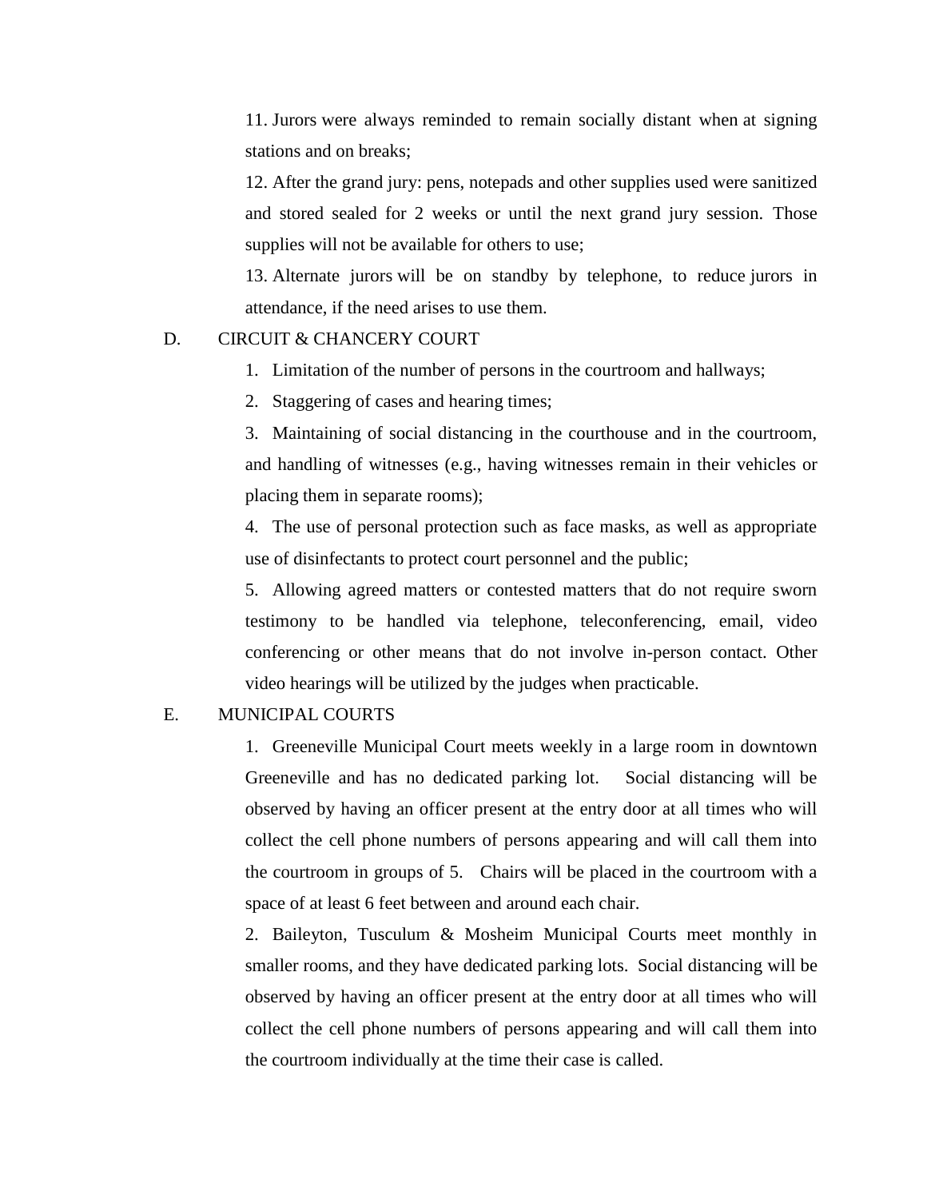11. Jurors were always reminded to remain socially distant when at signing stations and on breaks;

12. After the grand jury: pens, notepads and other supplies used were sanitized and stored sealed for 2 weeks or until the next grand jury session. Those supplies will not be available for others to use;

13. Alternate jurors will be on standby by telephone, to reduce jurors in attendance, if the need arises to use them.

#### D. CIRCUIT & CHANCERY COURT

- 1. Limitation of the number of persons in the courtroom and hallways;
- 2. Staggering of cases and hearing times;

3. Maintaining of social distancing in the courthouse and in the courtroom, and handling of witnesses (e.g., having witnesses remain in their vehicles or placing them in separate rooms);

4. The use of personal protection such as face masks, as well as appropriate use of disinfectants to protect court personnel and the public;

5. Allowing agreed matters or contested matters that do not require sworn testimony to be handled via telephone, teleconferencing, email, video conferencing or other means that do not involve in-person contact. Other video hearings will be utilized by the judges when practicable.

#### E. MUNICIPAL COURTS

1. Greeneville Municipal Court meets weekly in a large room in downtown Greeneville and has no dedicated parking lot. Social distancing will be observed by having an officer present at the entry door at all times who will collect the cell phone numbers of persons appearing and will call them into the courtroom in groups of 5. Chairs will be placed in the courtroom with a space of at least 6 feet between and around each chair.

2. Baileyton, Tusculum & Mosheim Municipal Courts meet monthly in smaller rooms, and they have dedicated parking lots. Social distancing will be observed by having an officer present at the entry door at all times who will collect the cell phone numbers of persons appearing and will call them into the courtroom individually at the time their case is called.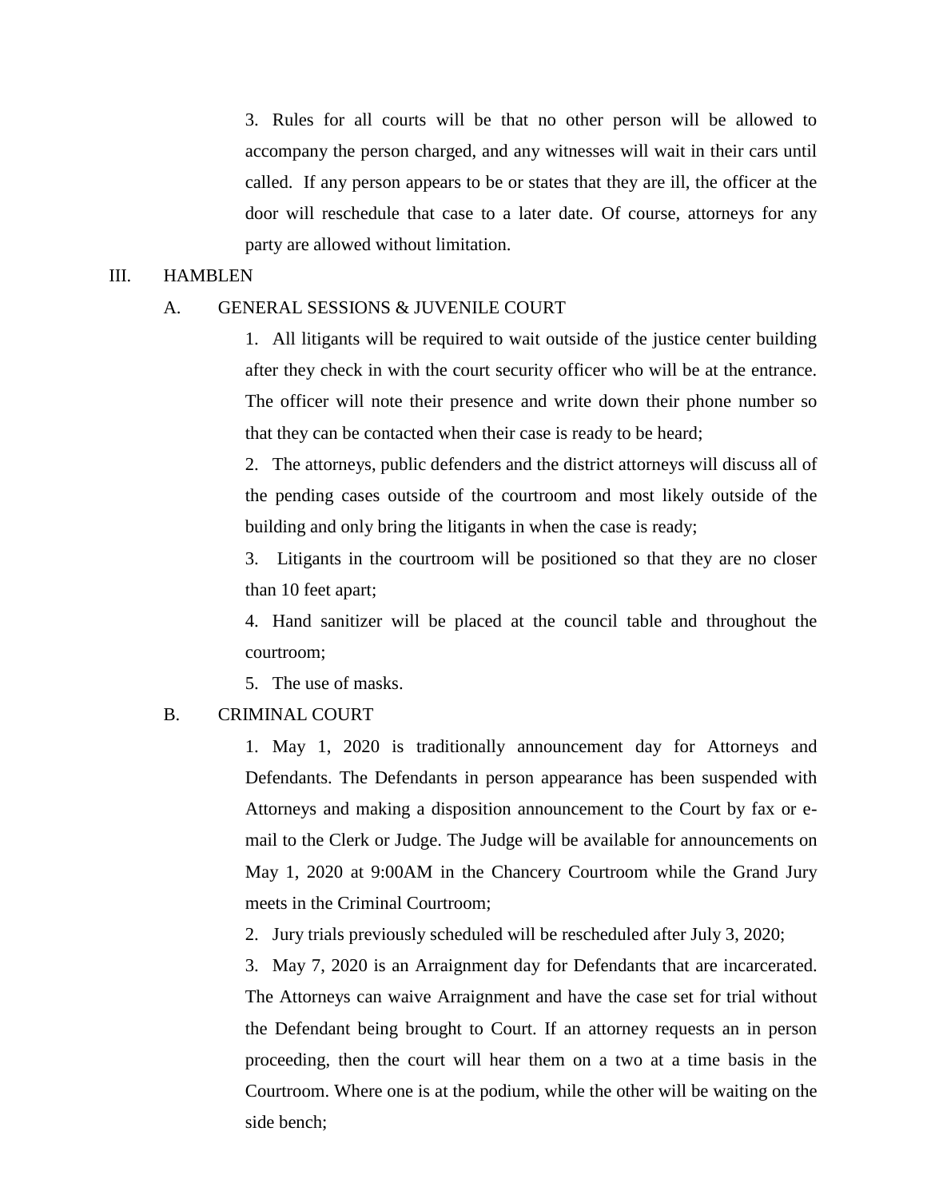3. Rules for all courts will be that no other person will be allowed to accompany the person charged, and any witnesses will wait in their cars until called. If any person appears to be or states that they are ill, the officer at the door will reschedule that case to a later date. Of course, attorneys for any party are allowed without limitation.

#### III. HAMBLEN

#### A. GENERAL SESSIONS & JUVENILE COURT

1. All litigants will be required to wait outside of the justice center building after they check in with the court security officer who will be at the entrance. The officer will note their presence and write down their phone number so that they can be contacted when their case is ready to be heard;

2. The attorneys, public defenders and the district attorneys will discuss all of the pending cases outside of the courtroom and most likely outside of the building and only bring the litigants in when the case is ready;

3. Litigants in the courtroom will be positioned so that they are no closer than 10 feet apart;

4. Hand sanitizer will be placed at the council table and throughout the courtroom;

5. The use of masks.

#### B. CRIMINAL COURT

1. May 1, 2020 is traditionally announcement day for Attorneys and Defendants. The Defendants in person appearance has been suspended with Attorneys and making a disposition announcement to the Court by fax or email to the Clerk or Judge. The Judge will be available for announcements on May 1, 2020 at 9:00AM in the Chancery Courtroom while the Grand Jury meets in the Criminal Courtroom;

2. Jury trials previously scheduled will be rescheduled after July 3, 2020;

3. May 7, 2020 is an Arraignment day for Defendants that are incarcerated. The Attorneys can waive Arraignment and have the case set for trial without the Defendant being brought to Court. If an attorney requests an in person proceeding, then the court will hear them on a two at a time basis in the Courtroom. Where one is at the podium, while the other will be waiting on the side bench;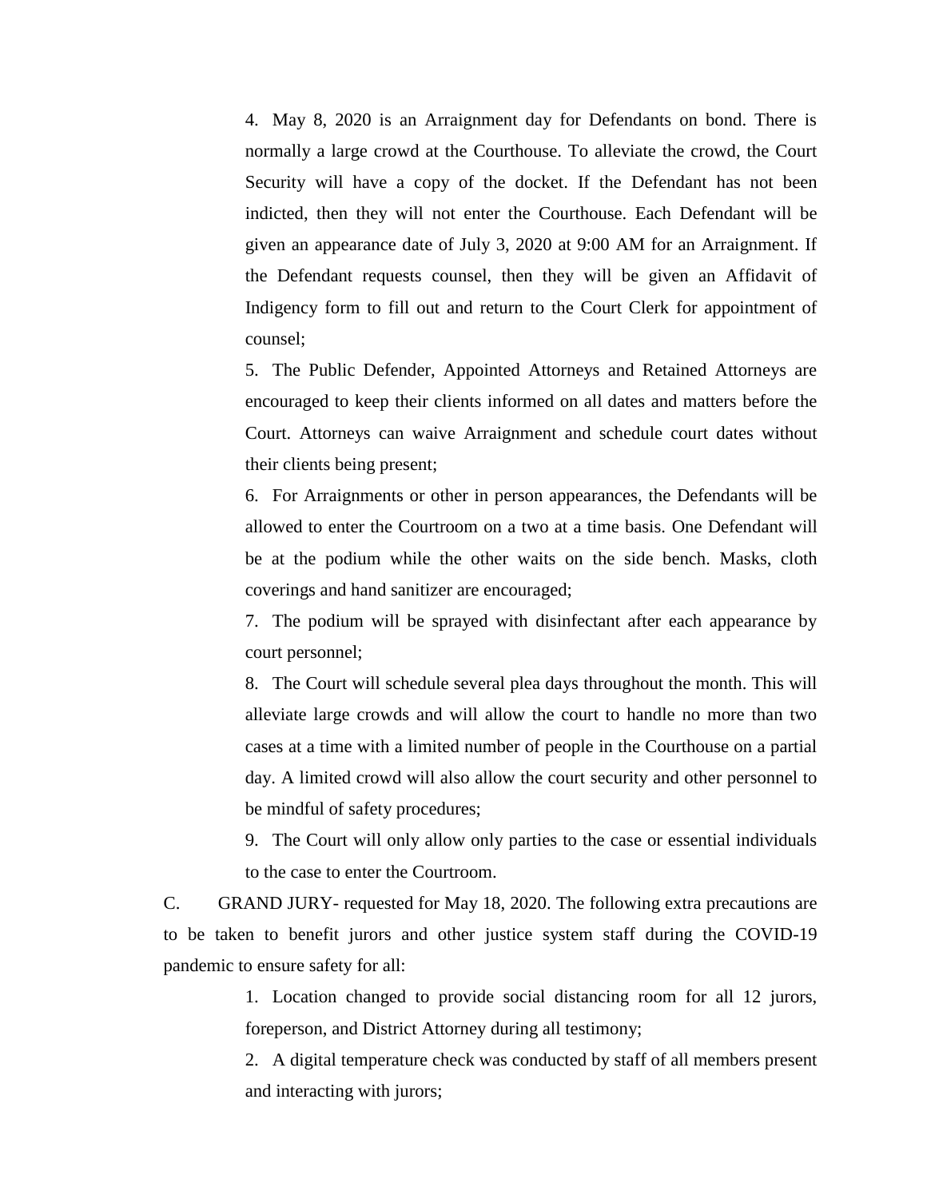4. May 8, 2020 is an Arraignment day for Defendants on bond. There is normally a large crowd at the Courthouse. To alleviate the crowd, the Court Security will have a copy of the docket. If the Defendant has not been indicted, then they will not enter the Courthouse. Each Defendant will be given an appearance date of July 3, 2020 at 9:00 AM for an Arraignment. If the Defendant requests counsel, then they will be given an Affidavit of Indigency form to fill out and return to the Court Clerk for appointment of counsel;

5. The Public Defender, Appointed Attorneys and Retained Attorneys are encouraged to keep their clients informed on all dates and matters before the Court. Attorneys can waive Arraignment and schedule court dates without their clients being present;

6. For Arraignments or other in person appearances, the Defendants will be allowed to enter the Courtroom on a two at a time basis. One Defendant will be at the podium while the other waits on the side bench. Masks, cloth coverings and hand sanitizer are encouraged;

7. The podium will be sprayed with disinfectant after each appearance by court personnel;

8. The Court will schedule several plea days throughout the month. This will alleviate large crowds and will allow the court to handle no more than two cases at a time with a limited number of people in the Courthouse on a partial day. A limited crowd will also allow the court security and other personnel to be mindful of safety procedures;

9. The Court will only allow only parties to the case or essential individuals to the case to enter the Courtroom.

C. GRAND JURY- requested for May 18, 2020. The following extra precautions are to be taken to benefit jurors and other justice system staff during the COVID-19 pandemic to ensure safety for all:

> 1. Location changed to provide social distancing room for all 12 jurors, foreperson, and District Attorney during all testimony;

> 2. A digital temperature check was conducted by staff of all members present and interacting with jurors;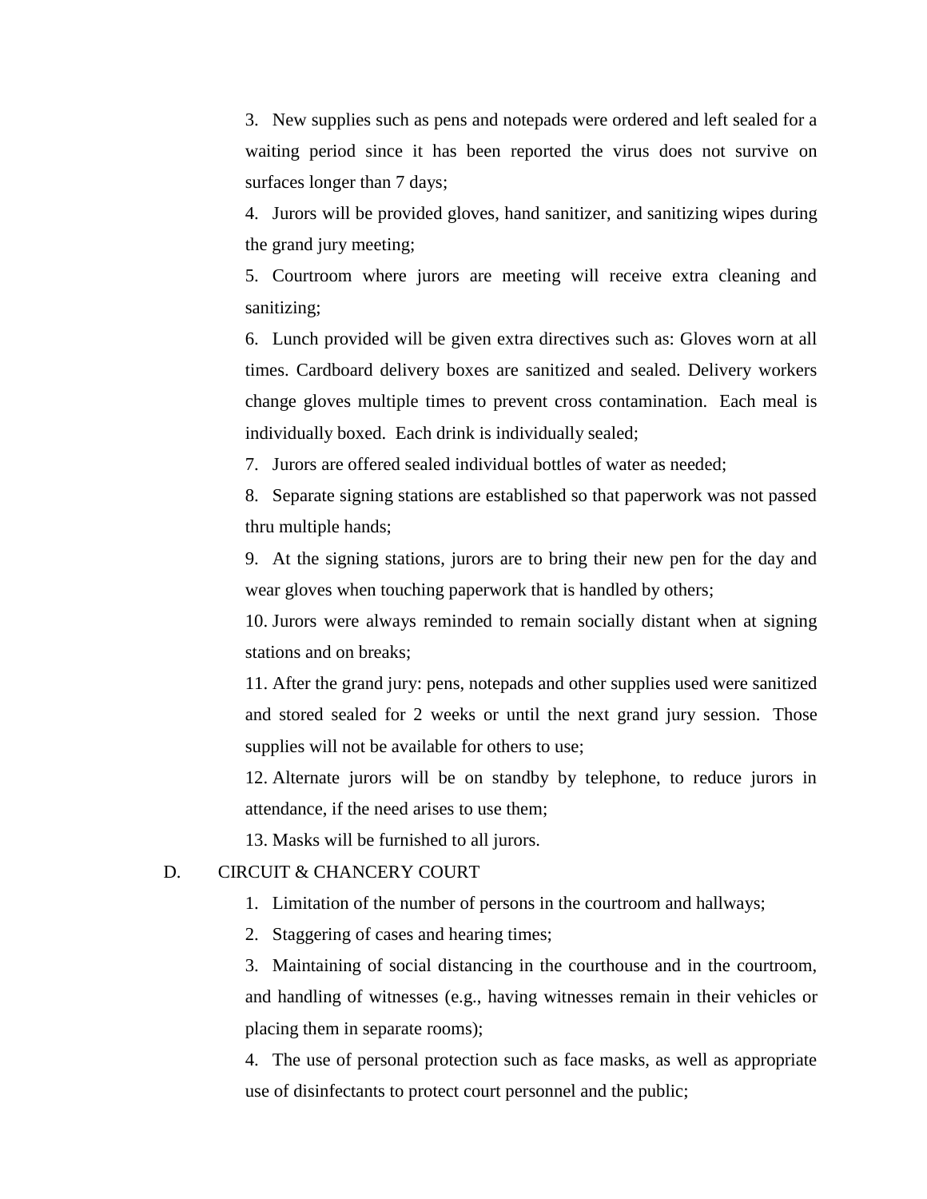3. New supplies such as pens and notepads were ordered and left sealed for a waiting period since it has been reported the virus does not survive on surfaces longer than 7 days;

4. Jurors will be provided gloves, hand sanitizer, and sanitizing wipes during the grand jury meeting;

5. Courtroom where jurors are meeting will receive extra cleaning and sanitizing;

6. Lunch provided will be given extra directives such as: Gloves worn at all times. Cardboard delivery boxes are sanitized and sealed. Delivery workers change gloves multiple times to prevent cross contamination. Each meal is individually boxed. Each drink is individually sealed;

7. Jurors are offered sealed individual bottles of water as needed;

8. Separate signing stations are established so that paperwork was not passed thru multiple hands;

9. At the signing stations, jurors are to bring their new pen for the day and wear gloves when touching paperwork that is handled by others;

10. Jurors were always reminded to remain socially distant when at signing stations and on breaks;

11. After the grand jury: pens, notepads and other supplies used were sanitized and stored sealed for 2 weeks or until the next grand jury session. Those supplies will not be available for others to use;

12. Alternate jurors will be on standby by telephone, to reduce jurors in attendance, if the need arises to use them;

13. Masks will be furnished to all jurors.

#### D. CIRCUIT & CHANCERY COURT

- 1. Limitation of the number of persons in the courtroom and hallways;
- 2. Staggering of cases and hearing times;

3. Maintaining of social distancing in the courthouse and in the courtroom, and handling of witnesses (e.g., having witnesses remain in their vehicles or placing them in separate rooms);

4. The use of personal protection such as face masks, as well as appropriate use of disinfectants to protect court personnel and the public;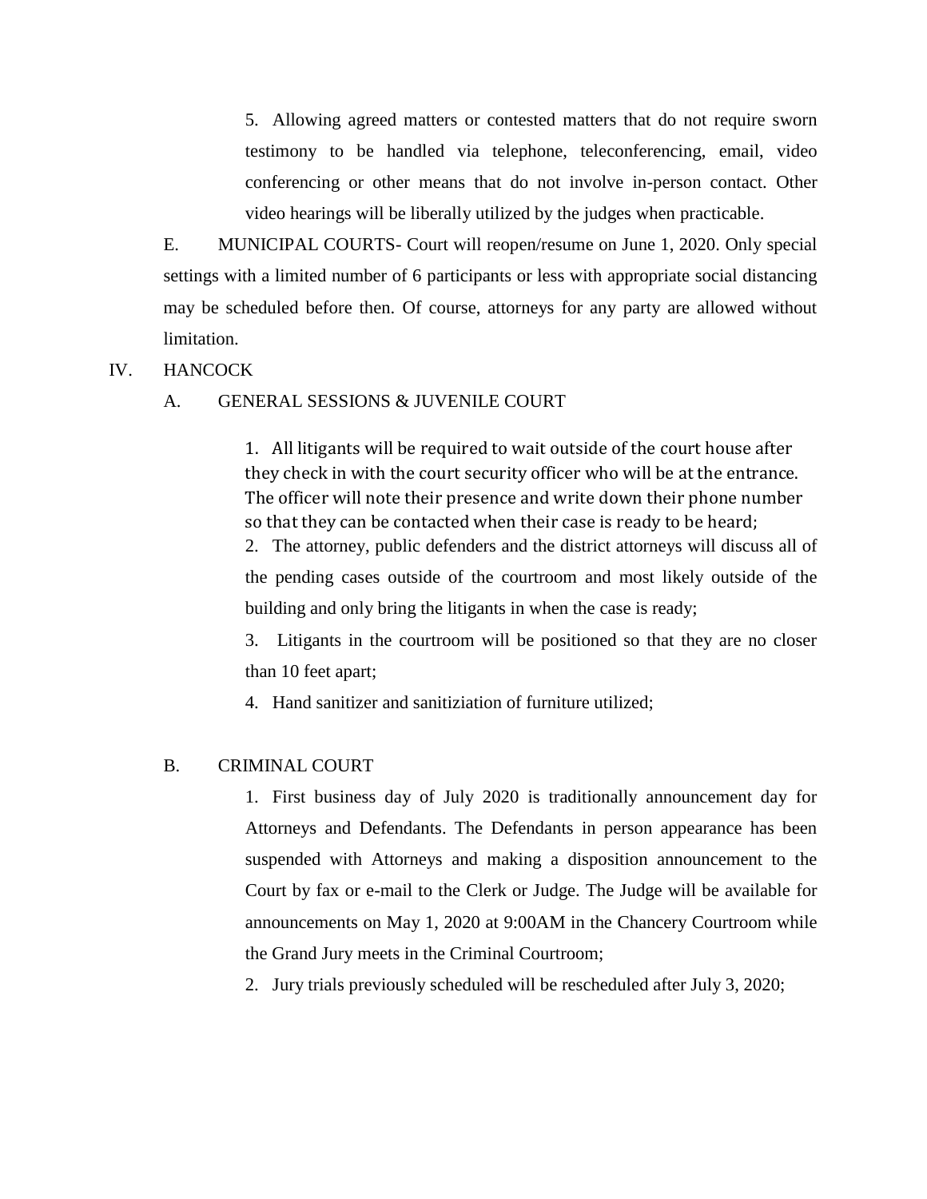5. Allowing agreed matters or contested matters that do not require sworn testimony to be handled via telephone, teleconferencing, email, video conferencing or other means that do not involve in-person contact. Other video hearings will be liberally utilized by the judges when practicable.

E. MUNICIPAL COURTS- Court will reopen/resume on June 1, 2020. Only special settings with a limited number of 6 participants or less with appropriate social distancing may be scheduled before then. Of course, attorneys for any party are allowed without limitation.

#### IV. HANCOCK

#### A. GENERAL SESSIONS & JUVENILE COURT

1. All litigants will be required to wait outside of the court house after they check in with the court security officer who will be at the entrance. The officer will note their presence and write down their phone number so that they can be contacted when their case is ready to be heard;

2. The attorney, public defenders and the district attorneys will discuss all of the pending cases outside of the courtroom and most likely outside of the building and only bring the litigants in when the case is ready;

3. Litigants in the courtroom will be positioned so that they are no closer than 10 feet apart;

4. Hand sanitizer and sanitiziation of furniture utilized;

#### B. CRIMINAL COURT

1. First business day of July 2020 is traditionally announcement day for Attorneys and Defendants. The Defendants in person appearance has been suspended with Attorneys and making a disposition announcement to the Court by fax or e-mail to the Clerk or Judge. The Judge will be available for announcements on May 1, 2020 at 9:00AM in the Chancery Courtroom while the Grand Jury meets in the Criminal Courtroom;

2. Jury trials previously scheduled will be rescheduled after July 3, 2020;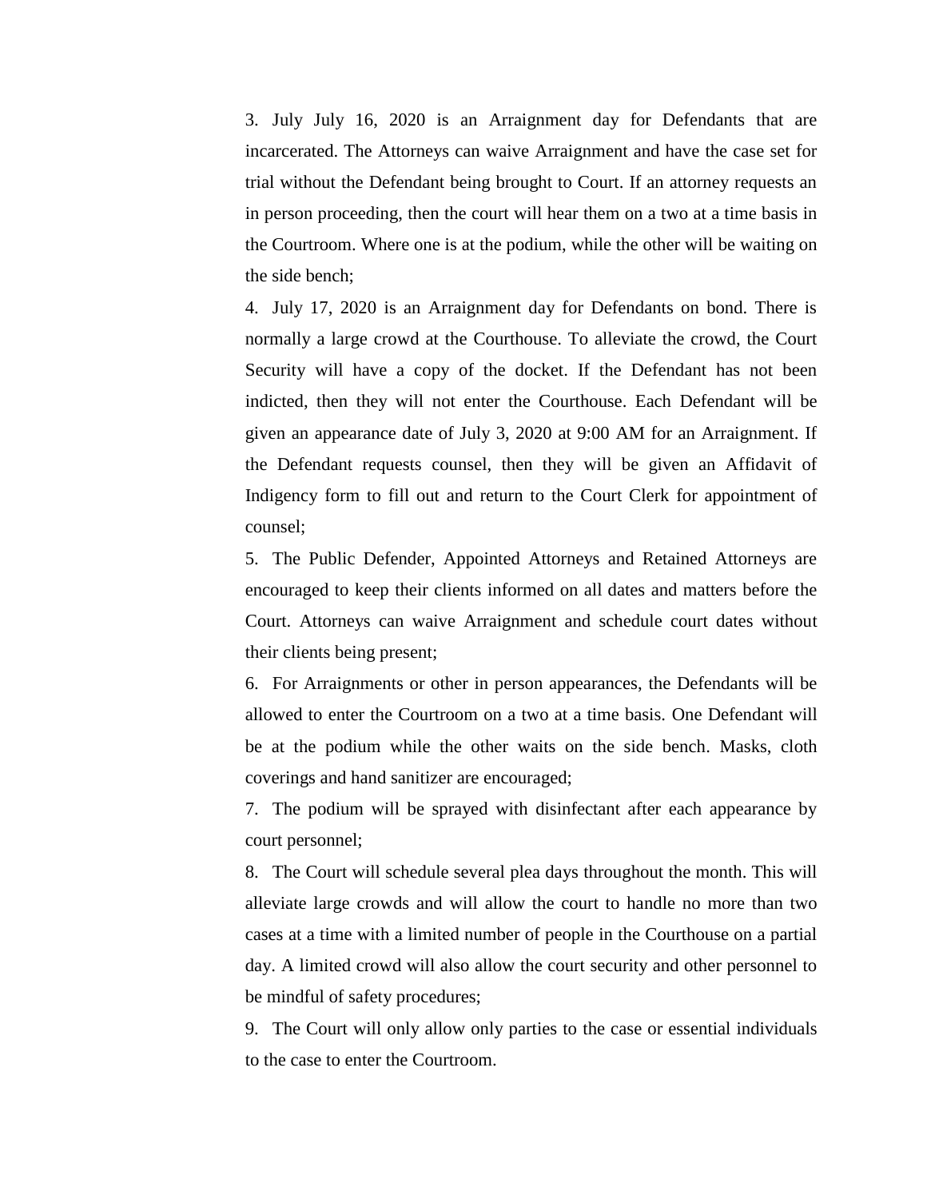3. July July 16, 2020 is an Arraignment day for Defendants that are incarcerated. The Attorneys can waive Arraignment and have the case set for trial without the Defendant being brought to Court. If an attorney requests an in person proceeding, then the court will hear them on a two at a time basis in the Courtroom. Where one is at the podium, while the other will be waiting on the side bench;

4. July 17, 2020 is an Arraignment day for Defendants on bond. There is normally a large crowd at the Courthouse. To alleviate the crowd, the Court Security will have a copy of the docket. If the Defendant has not been indicted, then they will not enter the Courthouse. Each Defendant will be given an appearance date of July 3, 2020 at 9:00 AM for an Arraignment. If the Defendant requests counsel, then they will be given an Affidavit of Indigency form to fill out and return to the Court Clerk for appointment of counsel;

5. The Public Defender, Appointed Attorneys and Retained Attorneys are encouraged to keep their clients informed on all dates and matters before the Court. Attorneys can waive Arraignment and schedule court dates without their clients being present;

6. For Arraignments or other in person appearances, the Defendants will be allowed to enter the Courtroom on a two at a time basis. One Defendant will be at the podium while the other waits on the side bench. Masks, cloth coverings and hand sanitizer are encouraged;

7. The podium will be sprayed with disinfectant after each appearance by court personnel;

8. The Court will schedule several plea days throughout the month. This will alleviate large crowds and will allow the court to handle no more than two cases at a time with a limited number of people in the Courthouse on a partial day. A limited crowd will also allow the court security and other personnel to be mindful of safety procedures;

9. The Court will only allow only parties to the case or essential individuals to the case to enter the Courtroom.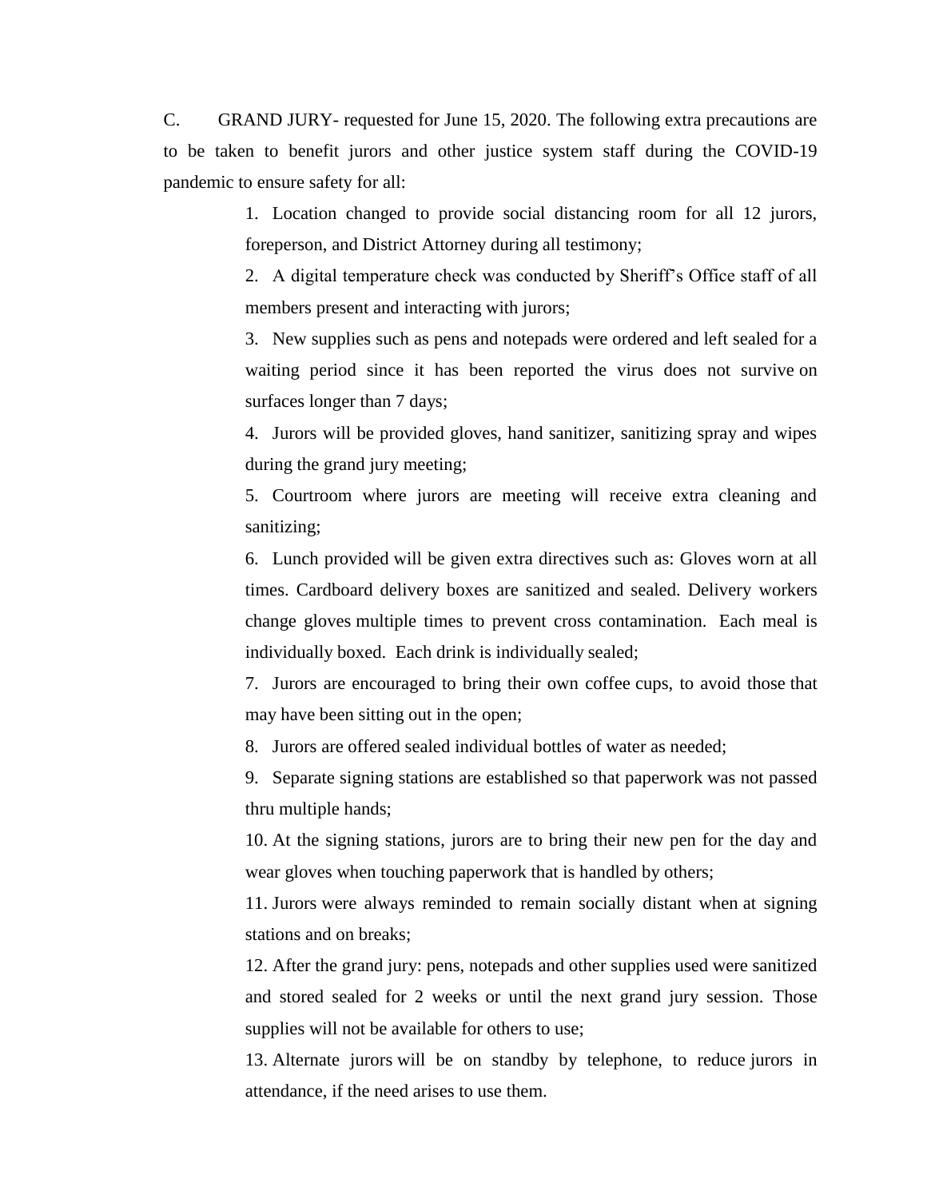C. GRAND JURY- requested for June 15, 2020. The following extra precautions are to be taken to benefit jurors and other justice system staff during the COVID-19 pandemic to ensure safety for all:

> 1. Location changed to provide social distancing room for all 12 jurors, foreperson, and District Attorney during all testimony;

> 2. A digital temperature check was conducted by Sheriff's Office staff of all members present and interacting with jurors;

> 3. New supplies such as pens and notepads were ordered and left sealed for a waiting period since it has been reported the virus does not survive on surfaces longer than 7 days;

> 4. Jurors will be provided gloves, hand sanitizer, sanitizing spray and wipes during the grand jury meeting;

> 5. Courtroom where jurors are meeting will receive extra cleaning and sanitizing;

> 6. Lunch provided will be given extra directives such as: Gloves worn at all times. Cardboard delivery boxes are sanitized and sealed. Delivery workers change gloves multiple times to prevent cross contamination. Each meal is individually boxed. Each drink is individually sealed;

> 7. Jurors are encouraged to bring their own coffee cups, to avoid those that may have been sitting out in the open;

8. Jurors are offered sealed individual bottles of water as needed;

9. Separate signing stations are established so that paperwork was not passed thru multiple hands;

10. At the signing stations, jurors are to bring their new pen for the day and wear gloves when touching paperwork that is handled by others;

11. Jurors were always reminded to remain socially distant when at signing stations and on breaks;

12. After the grand jury: pens, notepads and other supplies used were sanitized and stored sealed for 2 weeks or until the next grand jury session. Those supplies will not be available for others to use;

13. Alternate jurors will be on standby by telephone, to reduce jurors in attendance, if the need arises to use them.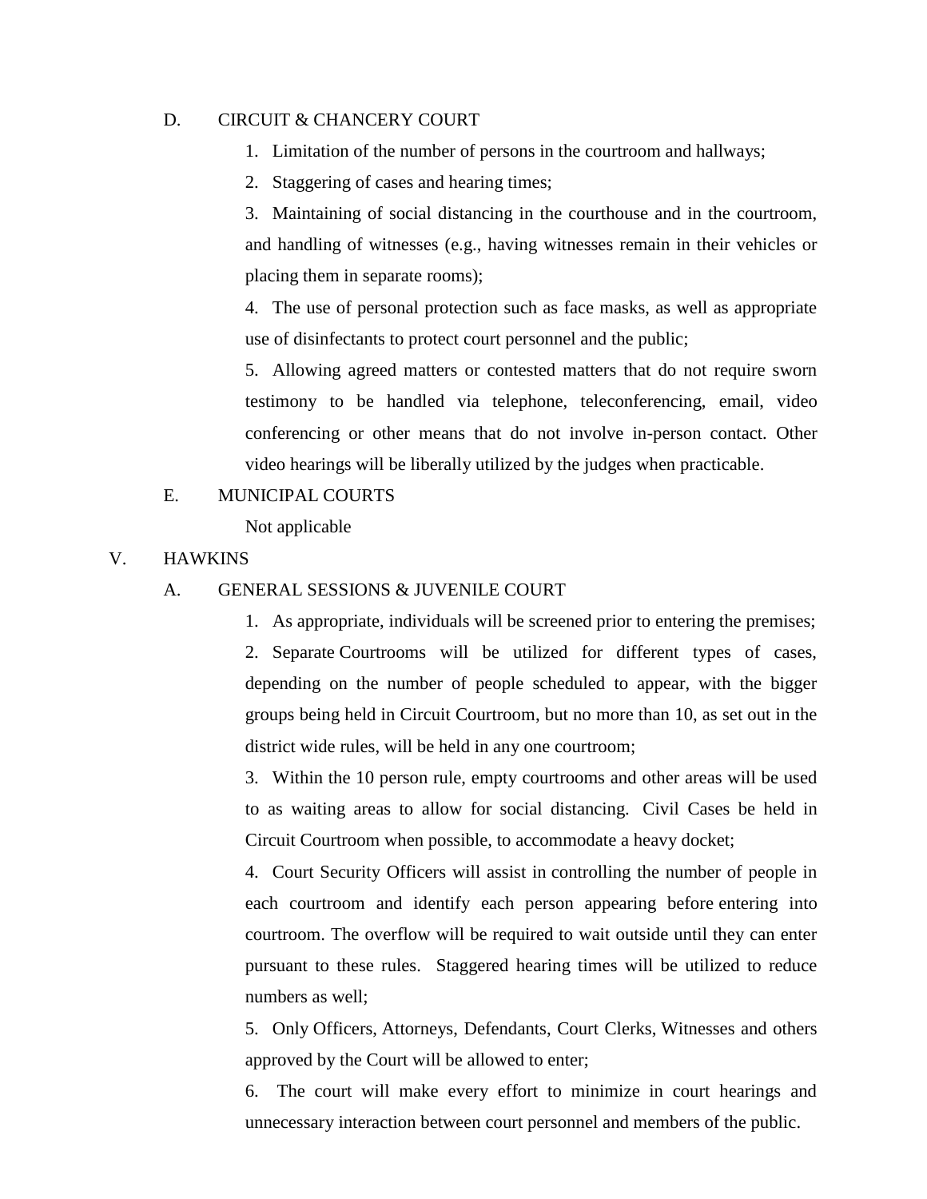#### D. CIRCUIT & CHANCERY COURT

- 1. Limitation of the number of persons in the courtroom and hallways;
- 2. Staggering of cases and hearing times;

3. Maintaining of social distancing in the courthouse and in the courtroom, and handling of witnesses (e.g., having witnesses remain in their vehicles or placing them in separate rooms);

4. The use of personal protection such as face masks, as well as appropriate use of disinfectants to protect court personnel and the public;

5. Allowing agreed matters or contested matters that do not require sworn testimony to be handled via telephone, teleconferencing, email, video conferencing or other means that do not involve in-person contact. Other video hearings will be liberally utilized by the judges when practicable.

E. MUNICIPAL COURTS

Not applicable

#### V. HAWKINS

- A. GENERAL SESSIONS & JUVENILE COURT
	- 1. As appropriate, individuals will be screened prior to entering the premises;

2. Separate Courtrooms will be utilized for different types of cases, depending on the number of people scheduled to appear, with the bigger groups being held in Circuit Courtroom, but no more than 10, as set out in the district wide rules, will be held in any one courtroom;

3. Within the 10 person rule, empty courtrooms and other areas will be used to as waiting areas to allow for social distancing. Civil Cases be held in Circuit Courtroom when possible, to accommodate a heavy docket;

4. Court Security Officers will assist in controlling the number of people in each courtroom and identify each person appearing before entering into courtroom. The overflow will be required to wait outside until they can enter pursuant to these rules. Staggered hearing times will be utilized to reduce numbers as well;

5. Only Officers, Attorneys, Defendants, Court Clerks, Witnesses and others approved by the Court will be allowed to enter;

6. The court will make every effort to minimize in court hearings and unnecessary interaction between court personnel and members of the public.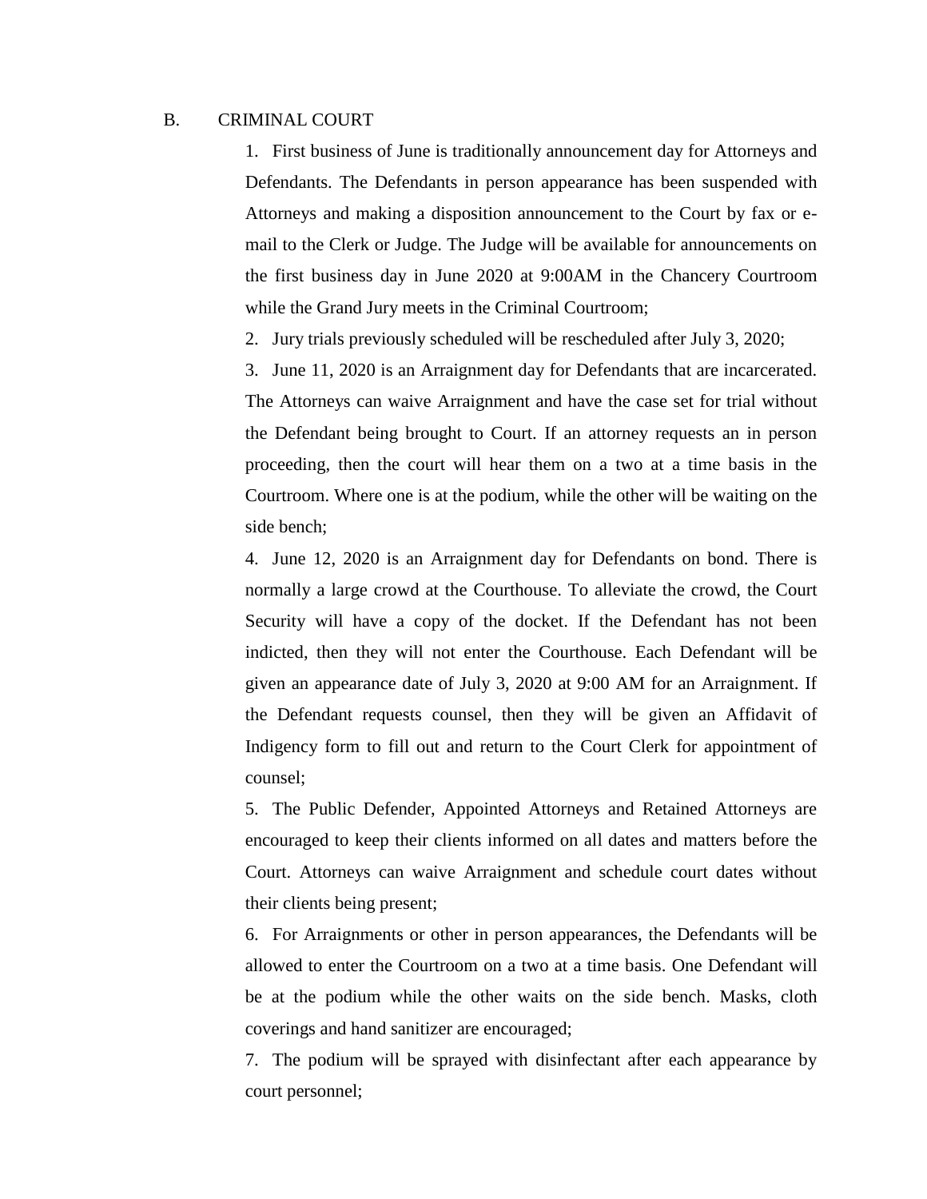#### B. CRIMINAL COURT

1. First business of June is traditionally announcement day for Attorneys and Defendants. The Defendants in person appearance has been suspended with Attorneys and making a disposition announcement to the Court by fax or email to the Clerk or Judge. The Judge will be available for announcements on the first business day in June 2020 at 9:00AM in the Chancery Courtroom while the Grand Jury meets in the Criminal Courtroom;

2. Jury trials previously scheduled will be rescheduled after July 3, 2020;

3. June 11, 2020 is an Arraignment day for Defendants that are incarcerated. The Attorneys can waive Arraignment and have the case set for trial without the Defendant being brought to Court. If an attorney requests an in person proceeding, then the court will hear them on a two at a time basis in the Courtroom. Where one is at the podium, while the other will be waiting on the side bench;

4. June 12, 2020 is an Arraignment day for Defendants on bond. There is normally a large crowd at the Courthouse. To alleviate the crowd, the Court Security will have a copy of the docket. If the Defendant has not been indicted, then they will not enter the Courthouse. Each Defendant will be given an appearance date of July 3, 2020 at 9:00 AM for an Arraignment. If the Defendant requests counsel, then they will be given an Affidavit of Indigency form to fill out and return to the Court Clerk for appointment of counsel;

5. The Public Defender, Appointed Attorneys and Retained Attorneys are encouraged to keep their clients informed on all dates and matters before the Court. Attorneys can waive Arraignment and schedule court dates without their clients being present;

6. For Arraignments or other in person appearances, the Defendants will be allowed to enter the Courtroom on a two at a time basis. One Defendant will be at the podium while the other waits on the side bench. Masks, cloth coverings and hand sanitizer are encouraged;

7. The podium will be sprayed with disinfectant after each appearance by court personnel;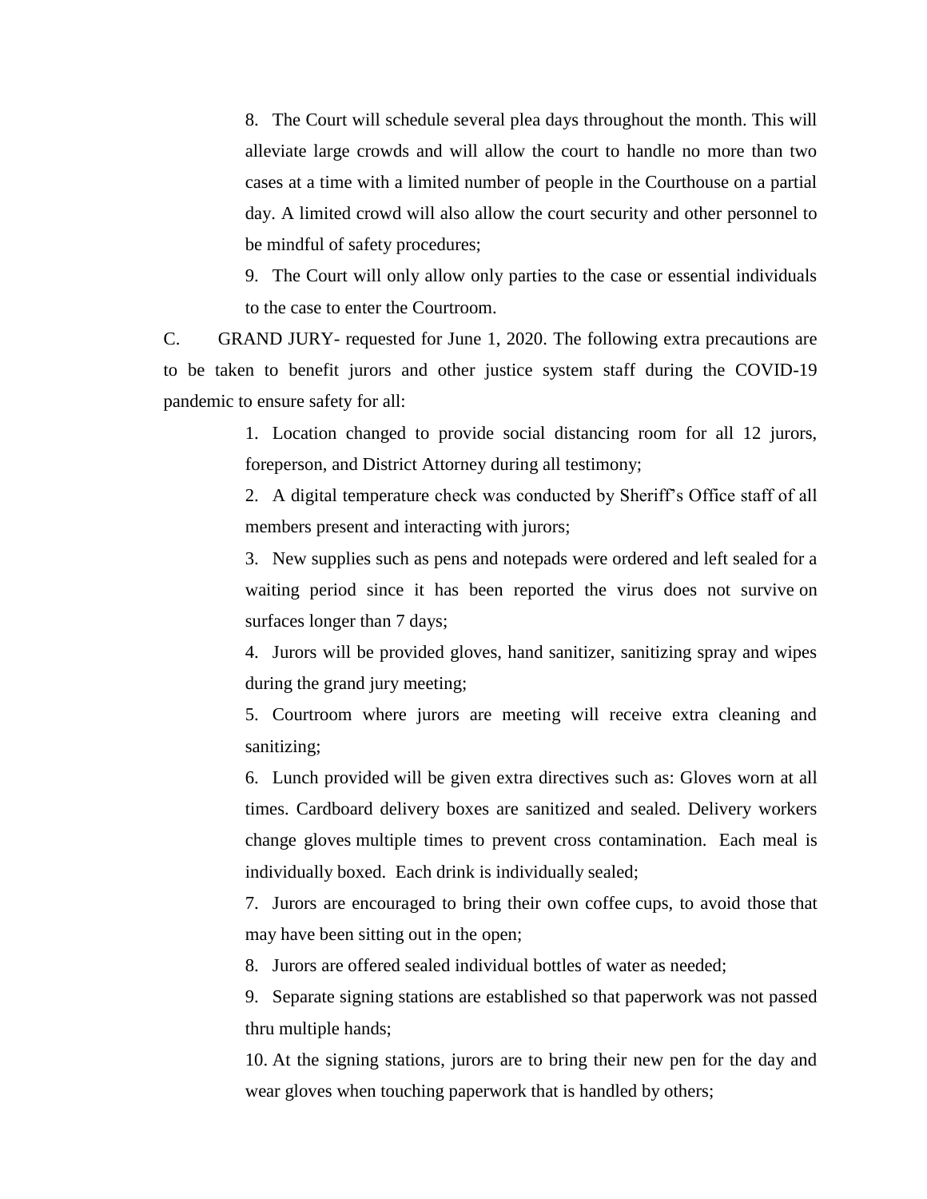8. The Court will schedule several plea days throughout the month. This will alleviate large crowds and will allow the court to handle no more than two cases at a time with a limited number of people in the Courthouse on a partial day. A limited crowd will also allow the court security and other personnel to be mindful of safety procedures;

9. The Court will only allow only parties to the case or essential individuals to the case to enter the Courtroom.

C. GRAND JURY- requested for June 1, 2020. The following extra precautions are to be taken to benefit jurors and other justice system staff during the COVID-19 pandemic to ensure safety for all:

> 1. Location changed to provide social distancing room for all 12 jurors, foreperson, and District Attorney during all testimony;

> 2. A digital temperature check was conducted by Sheriff's Office staff of all members present and interacting with jurors;

> 3. New supplies such as pens and notepads were ordered and left sealed for a waiting period since it has been reported the virus does not survive on surfaces longer than 7 days;

> 4. Jurors will be provided gloves, hand sanitizer, sanitizing spray and wipes during the grand jury meeting;

> 5. Courtroom where jurors are meeting will receive extra cleaning and sanitizing;

> 6. Lunch provided will be given extra directives such as: Gloves worn at all times. Cardboard delivery boxes are sanitized and sealed. Delivery workers change gloves multiple times to prevent cross contamination. Each meal is individually boxed. Each drink is individually sealed;

> 7. Jurors are encouraged to bring their own coffee cups, to avoid those that may have been sitting out in the open;

8. Jurors are offered sealed individual bottles of water as needed;

9. Separate signing stations are established so that paperwork was not passed thru multiple hands;

10. At the signing stations, jurors are to bring their new pen for the day and wear gloves when touching paperwork that is handled by others;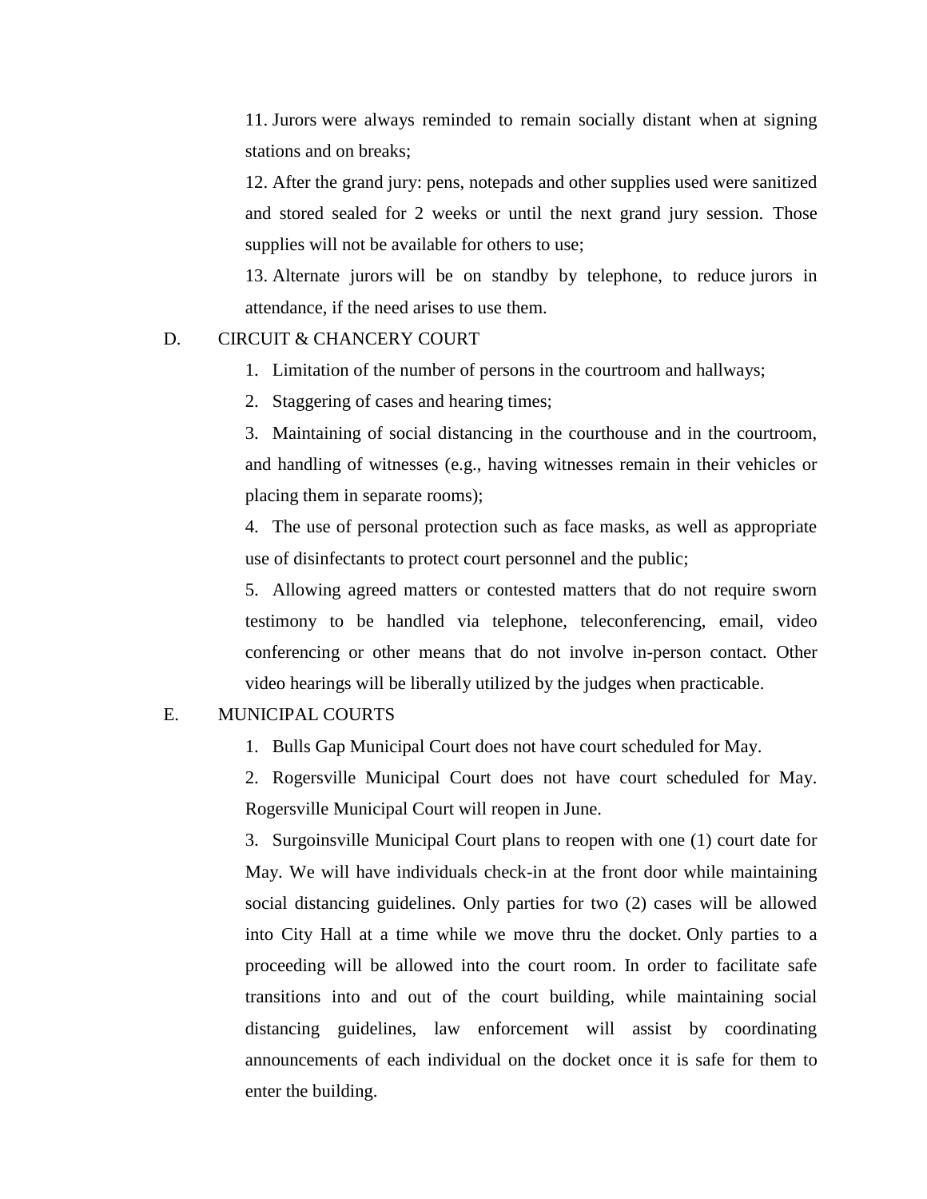11. Jurors were always reminded to remain socially distant when at signing stations and on breaks;

12. After the grand jury: pens, notepads and other supplies used were sanitized and stored sealed for 2 weeks or until the next grand jury session. Those supplies will not be available for others to use;

13. Alternate jurors will be on standby by telephone, to reduce jurors in attendance, if the need arises to use them.

#### D. CIRCUIT & CHANCERY COURT

- 1. Limitation of the number of persons in the courtroom and hallways;
- 2. Staggering of cases and hearing times;

3. Maintaining of social distancing in the courthouse and in the courtroom, and handling of witnesses (e.g., having witnesses remain in their vehicles or placing them in separate rooms);

4. The use of personal protection such as face masks, as well as appropriate use of disinfectants to protect court personnel and the public;

5. Allowing agreed matters or contested matters that do not require sworn testimony to be handled via telephone, teleconferencing, email, video conferencing or other means that do not involve in-person contact. Other video hearings will be liberally utilized by the judges when practicable.

#### E. MUNICIPAL COURTS

1. Bulls Gap Municipal Court does not have court scheduled for May.

2. Rogersville Municipal Court does not have court scheduled for May. Rogersville Municipal Court will reopen in June.

3. Surgoinsville Municipal Court plans to reopen with one (1) court date for May. We will have individuals check-in at the front door while maintaining social distancing guidelines. Only parties for two (2) cases will be allowed into City Hall at a time while we move thru the docket. Only parties to a proceeding will be allowed into the court room. In order to facilitate safe transitions into and out of the court building, while maintaining social distancing guidelines, law enforcement will assist by coordinating announcements of each individual on the docket once it is safe for them to enter the building.